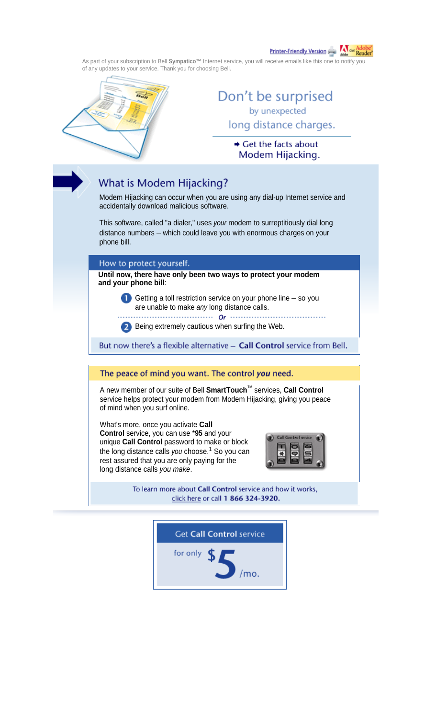Printer-Friendly Version

As part of your subscription to Bell **Sympatico™** Internet service, you will receive emails like this one to notify you of any updates to your service. Thank you for choosing Bell.



## Don't be surprised by unexpected long distance charges.

Get the facts about Modem Hijacking.

## What is Modem Hijacking?

Modem Hijacking can occur when you are using any dial-up Internet service and accidentally download malicious software.

This software, called "a dialer," uses *your* modem to surreptitiously dial long distance numbers – which could leave you with enormous charges on your phone bill.

How to protect yourself.

**Until now, there have only been two ways to protect your modem and your phone bill**:

> Getting a toll restriction service on your phone line  $-$  so you are unable to make *any* long distance calls.

**2** Being extremely cautious when surfing the Web.

But now there's a flexible alternative - Call Control service from Bell.

## The peace of mind you want. The control you need.

A new member of our suite of Bell **SmartTouch**™ services, **Call Control** service helps protect your modem from Modem Hijacking, giving you peace of mind when you surf online.

What's more, once you activate **Call Control** service, you can use \***95** and your unique **Call Control** password to make or block the long distance calls *you* choose.<sup>1</sup> So you can rest assured that you are only paying for the long distance calls *you make*.



To learn more about Call Control service and how it works, click here or call 1 866 324-3920.